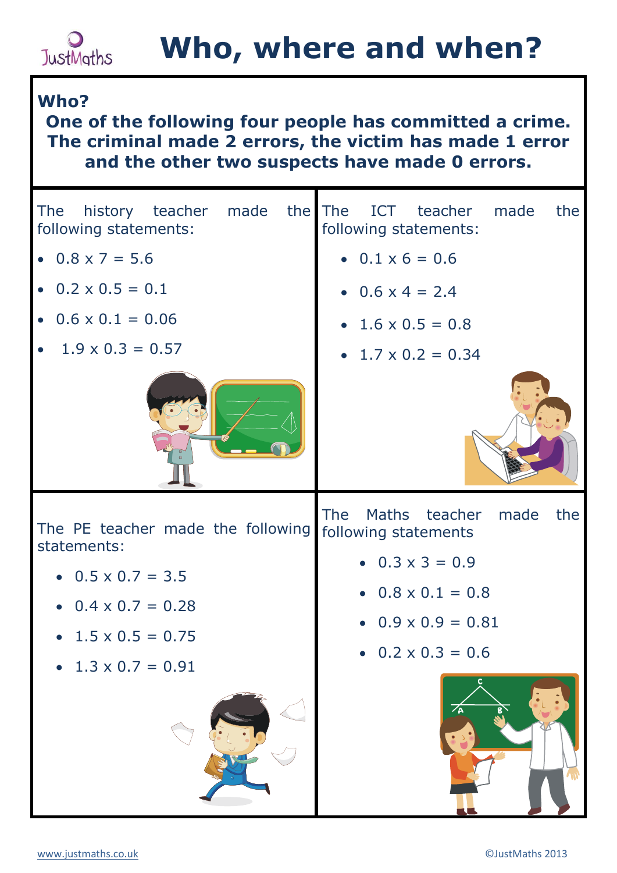## **Who, where and when?**

## **Who?**

**JustMaths** 

**One of the following four people has committed a crime. The criminal made 2 errors, the victim has made 1 error and the other two suspects have made 0 errors.**